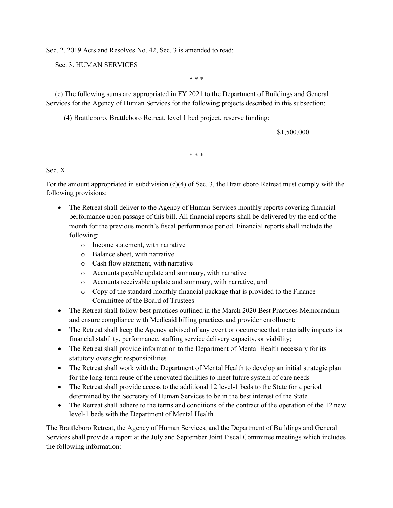Sec. 2. 2019 Acts and Resolves No. 42, Sec. 3 is amended to read:

Sec. 3. HUMAN SERVICES

\* \* \*

 (c) The following sums are appropriated in FY 2021 to the Department of Buildings and General Services for the Agency of Human Services for the following projects described in this subsection:

## (4) Brattleboro, Brattleboro Retreat, level 1 bed project, reserve funding:

## \$1,500,000

\* \* \*

Sec. X.

For the amount appropriated in subdivision (c)(4) of Sec. 3, the Brattleboro Retreat must comply with the following provisions:

- The Retreat shall deliver to the Agency of Human Services monthly reports covering financial performance upon passage of this bill. All financial reports shall be delivered by the end of the month for the previous month's fiscal performance period. Financial reports shall include the following:
	- o Income statement, with narrative
	- o Balance sheet, with narrative
	- o Cash flow statement, with narrative
	- o Accounts payable update and summary, with narrative
	- o Accounts receivable update and summary, with narrative, and
	- o Copy of the standard monthly financial package that is provided to the Finance Committee of the Board of Trustees
- The Retreat shall follow best practices outlined in the March 2020 Best Practices Memorandum and ensure compliance with Medicaid billing practices and provider enrollment;
- The Retreat shall keep the Agency advised of any event or occurrence that materially impacts its financial stability, performance, staffing service delivery capacity, or viability;
- The Retreat shall provide information to the Department of Mental Health necessary for its statutory oversight responsibilities
- The Retreat shall work with the Department of Mental Health to develop an initial strategic plan for the long-term reuse of the renovated facilities to meet future system of care needs
- The Retreat shall provide access to the additional 12 level-1 beds to the State for a period determined by the Secretary of Human Services to be in the best interest of the State
- The Retreat shall adhere to the terms and conditions of the contract of the operation of the 12 new level-1 beds with the Department of Mental Health

The Brattleboro Retreat, the Agency of Human Services, and the Department of Buildings and General Services shall provide a report at the July and September Joint Fiscal Committee meetings which includes the following information: